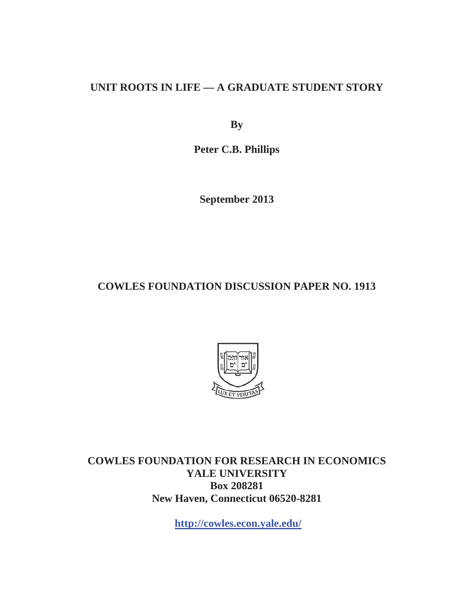# **UNIT ROOTS IN LIFE — A GRADUATE STUDENT STORY**

**By**

**Peter C.B. Phillips** 

**September 2013** 

**COWLES FOUNDATION DISCUSSION PAPER NO. 1913** 



**COWLES FOUNDATION FOR RESEARCH IN ECONOMICS YALE UNIVERSITY Box 208281 New Haven, Connecticut 06520-8281** 

**http://cowles.econ.yale.edu/**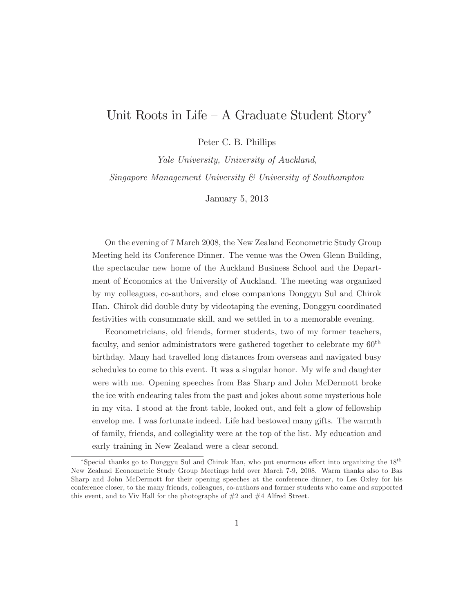## Unit Roots in Life — A Graduate Student Story<sup>∗</sup>

Peter C. B. Phillips

Yale University, University of Auckland, Singapore Management University & University of Southampton

January 5, 2013

On the evening of 7 March 2008, the New Zealand Econometric Study Group Meeting held its Conference Dinner. The venue was the Owen Glenn Building, the spectacular new home of the Auckland Business School and the Department of Economics at the University of Auckland. The meeting was organized by my colleagues, co-authors, and close companions Donggyu Sul and Chirok Han. Chirok did double duty by videotaping the evening, Donggyu coordinated festivities with consummate skill, and we settled in to a memorable evening.

Econometricians, old friends, former students, two of my former teachers, faculty, and senior administrators were gathered together to celebrate my  $60<sup>th</sup>$ birthday. Many had travelled long distances from overseas and navigated busy schedules to come to this event. It was a singular honor. My wife and daughter were with me. Opening speeches from Bas Sharp and John McDermott broke the ice with endearing tales from the past and jokes about some mysterious hole in my vita. I stood at the front table, looked out, and felt a glow of fellowship envelop me. I was fortunate indeed. Life had bestowed many gifts. The warmth of family, friends, and collegiality were at the top of the list. My education and early training in New Zealand were a clear second.

<sup>∗</sup>Special thanks go to Donggyu Sul and Chirok Han, who put enormous effort into organizing the 18th New Zealand Econometric Study Group Meetings held over March 7-9, 2008. Warm thanks also to Bas Sharp and John McDermott for their opening speeches at the conference dinner, to Les Oxley for his conference closer, to the many friends, colleagues, co-authors and former students who came and supported this event, and to Viv Hall for the photographs of  $\#2$  and  $\#4$  Alfred Street.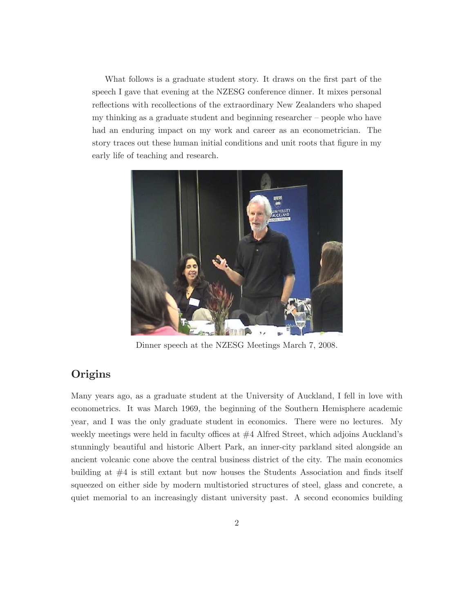What follows is a graduate student story. It draws on the first part of the speech I gave that evening at the NZESG conference dinner. It mixes personal reflections with recollections of the extraordinary New Zealanders who shaped my thinking as a graduate student and beginning researcher — people who have had an enduring impact on my work and career as an econometrician. The story traces out these human initial conditions and unit roots that figure in my early life of teaching and research.



Dinner speech at the NZESG Meetings March 7, 2008.

## **Origins**

Many years ago, as a graduate student at the University of Auckland, I fell in love with econometrics. It was March 1969, the beginning of the Southern Hemisphere academic year, and I was the only graduate student in economics. There were no lectures. My weekly meetings were held in faculty offices at #4 Alfred Street, which adjoins Auckland's stunningly beautiful and historic Albert Park, an inner-city parkland sited alongside an ancient volcanic cone above the central business district of the city. The main economics building at #4 is still extant but now houses the Students Association and finds itself squeezed on either side by modern multistoried structures of steel, glass and concrete, a quiet memorial to an increasingly distant university past. A second economics building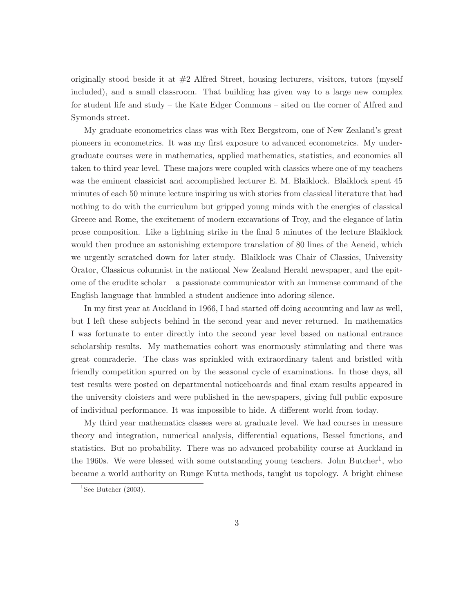originally stood beside it at  $#2$  Alfred Street, housing lecturers, visitors, tutors (myself included), and a small classroom. That building has given way to a large new complex for student life and study — the Kate Edger Commons — sited on the corner of Alfred and Symonds street.

My graduate econometrics class was with Rex Bergstrom, one of New Zealand's great pioneers in econometrics. It was my first exposure to advanced econometrics. My undergraduate courses were in mathematics, applied mathematics, statistics, and economics all taken to third year level. These majors were coupled with classics where one of my teachers was the eminent classicist and accomplished lecturer E. M. Blaiklock. Blaiklock spent 45 minutes of each 50 minute lecture inspiring us with stories from classical literature that had nothing to do with the curriculum but gripped young minds with the energies of classical Greece and Rome, the excitement of modern excavations of Troy, and the elegance of latin prose composition. Like a lightning strike in the final 5 minutes of the lecture Blaiklock would then produce an astonishing extempore translation of 80 lines of the Aeneid, which we urgently scratched down for later study. Blaiklock was Chair of Classics, University Orator, Classicus columnist in the national New Zealand Herald newspaper, and the epitome of the erudite scholar — a passionate communicator with an immense command of the English language that humbled a student audience into adoring silence.

In my first year at Auckland in 1966, I had started off doing accounting and law as well, but I left these subjects behind in the second year and never returned. In mathematics I was fortunate to enter directly into the second year level based on national entrance scholarship results. My mathematics cohort was enormously stimulating and there was great comraderie. The class was sprinkled with extraordinary talent and bristled with friendly competition spurred on by the seasonal cycle of examinations. In those days, all test results were posted on departmental noticeboards and final exam results appeared in the university cloisters and were published in the newspapers, giving full public exposure of individual performance. It was impossible to hide. A different world from today.

My third year mathematics classes were at graduate level. We had courses in measure theory and integration, numerical analysis, differential equations, Bessel functions, and statistics. But no probability. There was no advanced probability course at Auckland in the 1960s. We were blessed with some outstanding young teachers. John Butcher<sup>1</sup>, who became a world authority on Runge Kutta methods, taught us topology. A bright chinese

<sup>&</sup>lt;sup>1</sup>See Butcher (2003).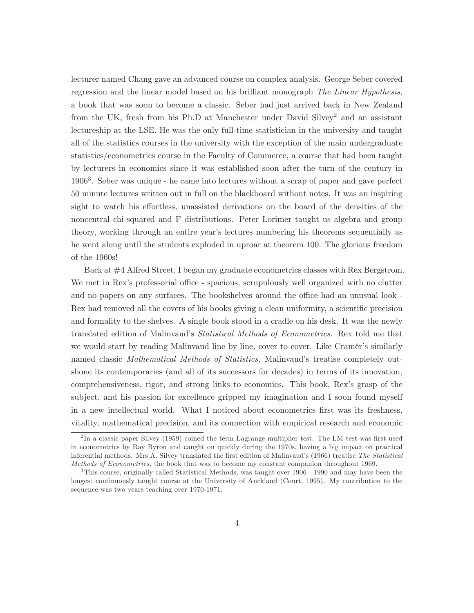lecturer named Chang gave an advanced course on complex analysis. George Seber covered regression and the linear model based on his brilliant monograph The Linear Hypothesis, a book that was soon to become a classic. Seber had just arrived back in New Zealand from the UK, fresh from his Ph.D at Manchester under David Silvey<sup>2</sup> and an assistant lectureship at the LSE. He was the only full-time statistician in the university and taught all of the statistics courses in the university with the exception of the main undergraduate statistics/econometrics course in the Faculty of Commerce, a course that had been taught by lecturers in economics since it was established soon after the turn of the century in 19063. Seber was unique - he came into lectures without a scrap of paper and gave perfect 50 minute lectures written out in full on the blackboard without notes. It was an inspiring sight to watch his effortless, unassisted derivations on the board of the densities of the noncentral chi-squared and F distributions. Peter Lorimer taught us algebra and group theory, working through an entire year's lectures numbering his theorems sequentially as he went along until the students exploded in uproar at theorem 100. The glorious freedom of the 1960s!

Back at #4 Alfred Street, I began my graduate econometrics classes with Rex Bergstrom. We met in Rex's professorial office - spacious, scrupulously well organized with no clutter and no papers on any surfaces. The bookshelves around the office had an unusual look - Rex had removed all the covers of his books giving a clean uniformity, a scientific precision and formality to the shelves. A single book stood in a cradle on his desk. It was the newly translated edition of Malinvaud's Statistical Methods of Econometrics. Rex told me that we would start by reading Malinvaud line by line, cover to cover. Like Cramér's similarly named classic *Mathematical Methods of Statistics*, Malinvaud's treatise completely outshone its contemporaries (and all of its successors for decades) in terms of its innovation, comprehensiveness, rigor, and strong links to economics. This book, Rex's grasp of the subject, and his passion for excellence gripped my imagination and I soon found myself in a new intellectual world. What I noticed about econometrics first was its freshness, vitality, mathematical precision, and its connection with empirical research and economic

 $2 \text{ In a classic paper Silvey (1959) coined the term Lagrange multiplier test. The LM test was first used.}$ in econometrics by Ray Byron and caught on quickly during the 1970s, having a big impact on practical inferential methods. Mrs A. Silvey translated the first edition of Malinvaud's (1966) treatise The Statistical Methods of Econometrics, the book that was to become my constant companion throughout 1969.

<sup>&</sup>lt;sup>3</sup>This course, originally called Statistical Methods, was taught over 1906 - 1990 and may have been the longest continuously taught course at the University of Auckland (Court, 1995). My contribution to the sequence was two years teaching over 1970-1971.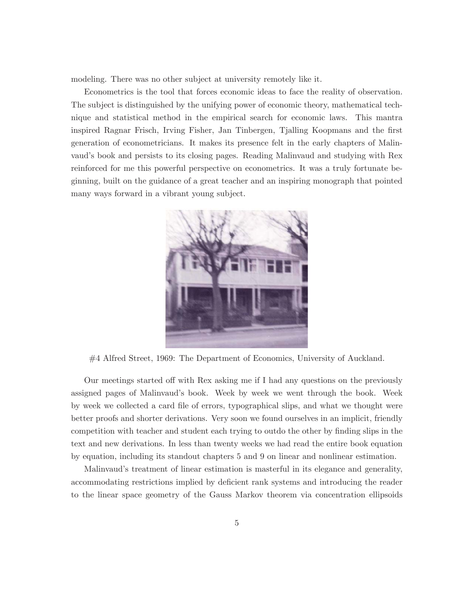modeling. There was no other subject at university remotely like it.

Econometrics is the tool that forces economic ideas to face the reality of observation. The subject is distinguished by the unifying power of economic theory, mathematical technique and statistical method in the empirical search for economic laws. This mantra inspired Ragnar Frisch, Irving Fisher, Jan Tinbergen, Tjalling Koopmans and the first generation of econometricians. It makes its presence felt in the early chapters of Malinvaud's book and persists to its closing pages. Reading Malinvaud and studying with Rex reinforced for me this powerful perspective on econometrics. It was a truly fortunate beginning, built on the guidance of a great teacher and an inspiring monograph that pointed many ways forward in a vibrant young subject.



#4 Alfred Street, 1969: The Department of Economics, University of Auckland.

Our meetings started off with Rex asking me if I had any questions on the previously assigned pages of Malinvaud's book. Week by week we went through the book. Week by week we collected a card file of errors, typographical slips, and what we thought were better proofs and shorter derivations. Very soon we found ourselves in an implicit, friendly competition with teacher and student each trying to outdo the other by finding slips in the text and new derivations. In less than twenty weeks we had read the entire book equation by equation, including its standout chapters 5 and 9 on linear and nonlinear estimation.

Malinvaud's treatment of linear estimation is masterful in its elegance and generality, accommodating restrictions implied by deficient rank systems and introducing the reader to the linear space geometry of the Gauss Markov theorem via concentration ellipsoids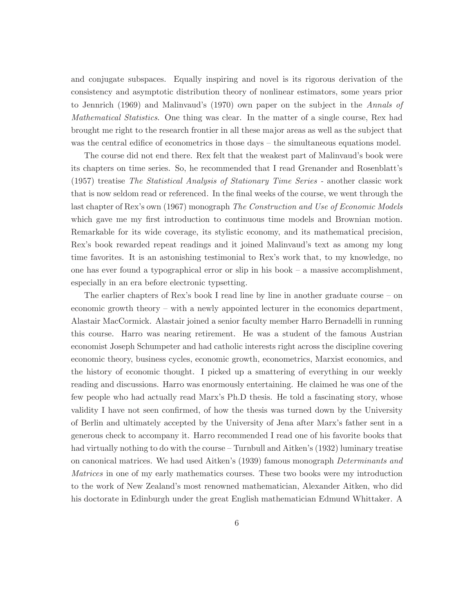and conjugate subspaces. Equally inspiring and novel is its rigorous derivation of the consistency and asymptotic distribution theory of nonlinear estimators, some years prior to Jennrich (1969) and Malinvaud's (1970) own paper on the subject in the Annals of Mathematical Statistics. One thing was clear. In the matter of a single course, Rex had brought me right to the research frontier in all these major areas as well as the subject that was the central edifice of econometrics in those days – the simultaneous equations model.

The course did not end there. Rex felt that the weakest part of Malinvaud's book were its chapters on time series. So, he recommended that I read Grenander and Rosenblatt's (1957) treatise The Statistical Analysis of Stationary Time Series - another classic work that is now seldom read or referenced. In the final weeks of the course, we went through the last chapter of Rex's own (1967) monograph The Construction and Use of Economic Models which gave me my first introduction to continuous time models and Brownian motion. Remarkable for its wide coverage, its stylistic economy, and its mathematical precision, Rex's book rewarded repeat readings and it joined Malinvaud's text as among my long time favorites. It is an astonishing testimonial to Rex's work that, to my knowledge, no one has ever found a typographical error or slip in his book  $-$  a massive accomplishment, especially in an era before electronic typsetting.

The earlier chapters of Rex's book I read line by line in another graduate course — on economic growth theory — with a newly appointed lecturer in the economics department, Alastair MacCormick. Alastair joined a senior faculty member Harro Bernadelli in running this course. Harro was nearing retirement. He was a student of the famous Austrian economist Joseph Schumpeter and had catholic interests right across the discipline covering economic theory, business cycles, economic growth, econometrics, Marxist economics, and the history of economic thought. I picked up a smattering of everything in our weekly reading and discussions. Harro was enormously entertaining. He claimed he was one of the few people who had actually read Marx's Ph.D thesis. He told a fascinating story, whose validity I have not seen confirmed, of how the thesis was turned down by the University of Berlin and ultimately accepted by the University of Jena after Marx's father sent in a generous check to accompany it. Harro recommended I read one of his favorite books that had virtually nothing to do with the course – Turnbull and Aitken's (1932) luminary treatise on canonical matrices. We had used Aitken's (1939) famous monograph Determinants and Matrices in one of my early mathematics courses. These two books were my introduction to the work of New Zealand's most renowned mathematician, Alexander Aitken, who did his doctorate in Edinburgh under the great English mathematician Edmund Whittaker. A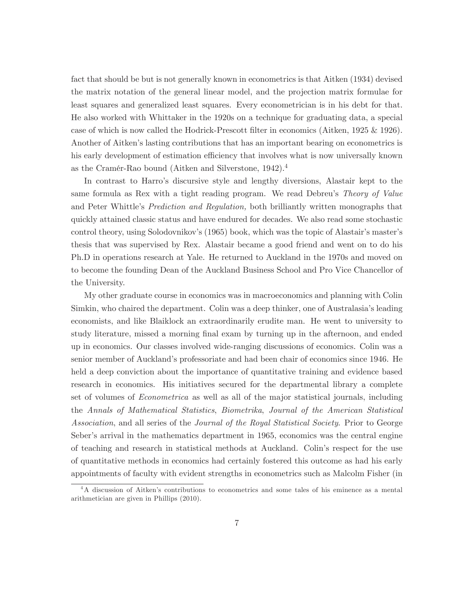fact that should be but is not generally known in econometrics is that Aitken (1934) devised the matrix notation of the general linear model, and the projection matrix formulae for least squares and generalized least squares. Every econometrician is in his debt for that. He also worked with Whittaker in the 1920s on a technique for graduating data, a special case of which is now called the Hodrick-Prescott filter in economics (Aitken, 1925 & 1926). Another of Aitken's lasting contributions that has an important bearing on econometrics is his early development of estimation efficiency that involves what is now universally known as the Cramér-Rao bound (Aitken and Silverstone, 1942).4

In contrast to Harro's discursive style and lengthy diversions, Alastair kept to the same formula as Rex with a tight reading program. We read Debreu's Theory of Value and Peter Whittle's Prediction and Regulation, both brilliantly written monographs that quickly attained classic status and have endured for decades. We also read some stochastic control theory, using Solodovnikov's (1965) book, which was the topic of Alastair's master's thesis that was supervised by Rex. Alastair became a good friend and went on to do his Ph.D in operations research at Yale. He returned to Auckland in the 1970s and moved on to become the founding Dean of the Auckland Business School and Pro Vice Chancellor of the University.

My other graduate course in economics was in macroeconomics and planning with Colin Simkin, who chaired the department. Colin was a deep thinker, one of Australasia's leading economists, and like Blaiklock an extraordinarily erudite man. He went to university to study literature, missed a morning final exam by turning up in the afternoon, and ended up in economics. Our classes involved wide-ranging discussions of economics. Colin was a senior member of Auckland's professoriate and had been chair of economics since 1946. He held a deep conviction about the importance of quantitative training and evidence based research in economics. His initiatives secured for the departmental library a complete set of volumes of Econometrica as well as all of the major statistical journals, including the Annals of Mathematical Statistics, Biometrika, Journal of the American Statistical Association, and all series of the Journal of the Royal Statistical Society. Prior to George Seber's arrival in the mathematics department in 1965, economics was the central engine of teaching and research in statistical methods at Auckland. Colin's respect for the use of quantitative methods in economics had certainly fostered this outcome as had his early appointments of faculty with evident strengths in econometrics such as Malcolm Fisher (in

<sup>4</sup>A discussion of Aitken's contributions to econometrics and some tales of his eminence as a mental arithmetician are given in Phillips (2010).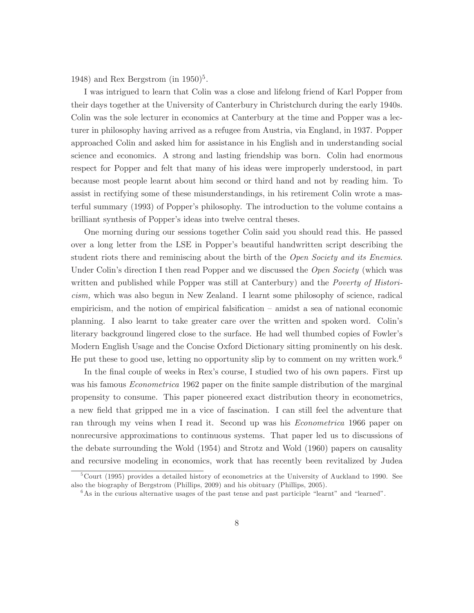1948) and Rex Bergstrom (in  $1950$ <sup>5</sup>.

I was intrigued to learn that Colin was a close and lifelong friend of Karl Popper from their days together at the University of Canterbury in Christchurch during the early 1940s. Colin was the sole lecturer in economics at Canterbury at the time and Popper was a lecturer in philosophy having arrived as a refugee from Austria, via England, in 1937. Popper approached Colin and asked him for assistance in his English and in understanding social science and economics. A strong and lasting friendship was born. Colin had enormous respect for Popper and felt that many of his ideas were improperly understood, in part because most people learnt about him second or third hand and not by reading him. To assist in rectifying some of these misunderstandings, in his retirement Colin wrote a masterful summary (1993) of Popper's philosophy. The introduction to the volume contains a brilliant synthesis of Popper's ideas into twelve central theses.

One morning during our sessions together Colin said you should read this. He passed over a long letter from the LSE in Popper's beautiful handwritten script describing the student riots there and reminiscing about the birth of the *Open Society and its Enemies*. Under Colin's direction I then read Popper and we discussed the *Open Society* (which was written and published while Popper was still at Canterbury) and the *Poverty of Histori*cism, which was also begun in New Zealand. I learnt some philosophy of science, radical empiricism, and the notion of empirical falsification — amidst a sea of national economic planning. I also learnt to take greater care over the written and spoken word. Colin's literary background lingered close to the surface. He had well thumbed copies of Fowler's Modern English Usage and the Concise Oxford Dictionary sitting prominently on his desk. He put these to good use, letting no opportunity slip by to comment on my written work.<sup>6</sup>

In the final couple of weeks in Rex's course, I studied two of his own papers. First up was his famous *Econometrica* 1962 paper on the finite sample distribution of the marginal propensity to consume. This paper pioneered exact distribution theory in econometrics, a new field that gripped me in a vice of fascination. I can still feel the adventure that ran through my veins when I read it. Second up was his Econometrica 1966 paper on nonrecursive approximations to continuous systems. That paper led us to discussions of the debate surrounding the Wold (1954) and Strotz and Wold (1960) papers on causality and recursive modeling in economics, work that has recently been revitalized by Judea

 $5$ Court (1995) provides a detailed history of econometrics at the University of Auckland to 1990. See also the biography of Bergstrom (Phillips, 2009) and his obituary (Phillips, 2005).

 $6$ As in the curious alternative usages of the past tense and past participle "learnt" and "learned".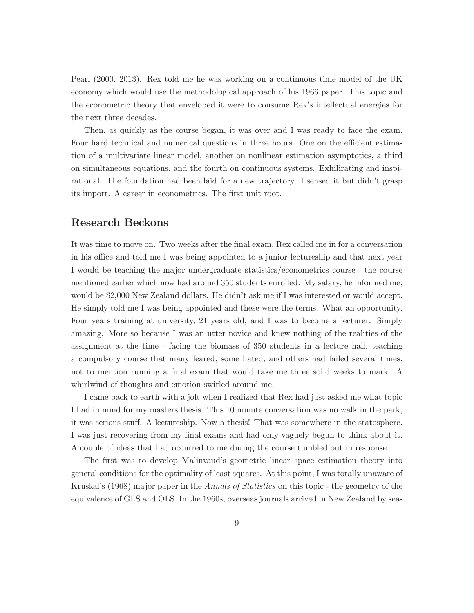Pearl (2000, 2013). Rex told me he was working on a continuous time model of the UK economy which would use the methodological approach of his 1966 paper. This topic and the econometric theory that enveloped it were to consume Rex's intellectual energies for the next three decades.

Then, as quickly as the course began, it was over and I was ready to face the exam. Four hard technical and numerical questions in three hours. One on the efficient estimation of a multivariate linear model, another on nonlinear estimation asymptotics, a third on simultaneous equations, and the fourth on continuous systems. Exhilirating and inspirational. The foundation had been laid for a new trajectory. I sensed it but didn't grasp its import. A career in econometrics. The first unit root.

#### Research Beckons

It was time to move on. Two weeks after the final exam, Rex called me in for a conversation in his office and told me I was being appointed to a junior lectureship and that next year I would be teaching the major undergraduate statistics/econometrics course - the course mentioned earlier which now had around 350 students enrolled. My salary, he informed me, would be \$2,000 New Zealand dollars. He didn't ask me if I was interested or would accept. He simply told me I was being appointed and these were the terms. What an opportunity. Four years training at university, 21 years old, and I was to become a lecturer. Simply amazing. More so because I was an utter novice and knew nothing of the realities of the assignment at the time - facing the biomass of 350 students in a lecture hall, teaching a compulsory course that many feared, some hated, and others had failed several times, not to mention running a final exam that would take me three solid weeks to mark. A whirlwind of thoughts and emotion swirled around me.

I came back to earth with a jolt when I realized that Rex had just asked me what topic I had in mind for my masters thesis. This 10 minute conversation was no walk in the park, it was serious stuff. A lectureship. Now a thesis! That was somewhere in the statosphere. I was just recovering from my final exams and had only vaguely begun to think about it. A couple of ideas that had occurred to me during the course tumbled out in response.

The first was to develop Malinvaud's geometric linear space estimation theory into general conditions for the optimality of least squares. At this point, I was totally unaware of Kruskal's (1968) major paper in the Annals of Statistics on this topic - the geometry of the equivalence of GLS and OLS. In the 1960s, overseas journals arrived in New Zealand by sea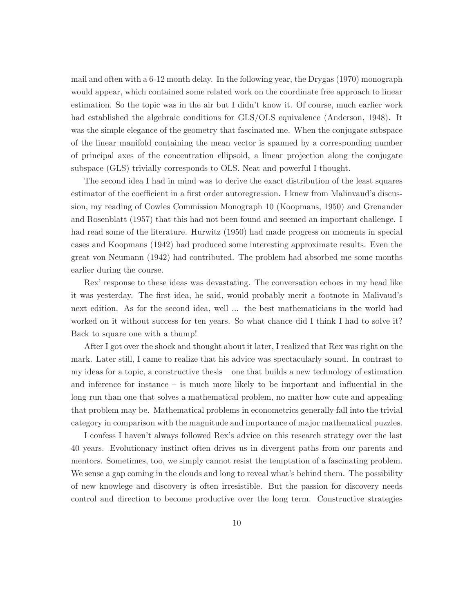mail and often with a 6-12 month delay. In the following year, the Drygas (1970) monograph would appear, which contained some related work on the coordinate free approach to linear estimation. So the topic was in the air but I didn't know it. Of course, much earlier work had established the algebraic conditions for GLS/OLS equivalence (Anderson, 1948). It was the simple elegance of the geometry that fascinated me. When the conjugate subspace of the linear manifold containing the mean vector is spanned by a corresponding number of principal axes of the concentration ellipsoid, a linear projection along the conjugate subspace (GLS) trivially corresponds to OLS. Neat and powerful I thought.

The second idea I had in mind was to derive the exact distribution of the least squares estimator of the coefficient in a first order autoregression. I knew from Malinvaud's discussion, my reading of Cowles Commission Monograph 10 (Koopmans, 1950) and Grenander and Rosenblatt (1957) that this had not been found and seemed an important challenge. I had read some of the literature. Hurwitz (1950) had made progress on moments in special cases and Koopmans (1942) had produced some interesting approximate results. Even the great von Neumann (1942) had contributed. The problem had absorbed me some months earlier during the course.

Rex' response to these ideas was devastating. The conversation echoes in my head like it was yesterday. The first idea, he said, would probably merit a footnote in Malivaud's next edition. As for the second idea, well ... the best mathematicians in the world had worked on it without success for ten years. So what chance did I think I had to solve it? Back to square one with a thump!

After I got over the shock and thought about it later, I realized that Rex was right on the mark. Later still, I came to realize that his advice was spectacularly sound. In contrast to my ideas for a topic, a constructive thesis — one that builds a new technology of estimation and inference for instance — is much more likely to be important and influential in the long run than one that solves a mathematical problem, no matter how cute and appealing that problem may be. Mathematical problems in econometrics generally fall into the trivial category in comparison with the magnitude and importance of major mathematical puzzles.

I confess I haven't always followed Rex's advice on this research strategy over the last 40 years. Evolutionary instinct often drives us in divergent paths from our parents and mentors. Sometimes, too, we simply cannot resist the temptation of a fascinating problem. We sense a gap coming in the clouds and long to reveal what's behind them. The possibility of new knowlege and discovery is often irresistible. But the passion for discovery needs control and direction to become productive over the long term. Constructive strategies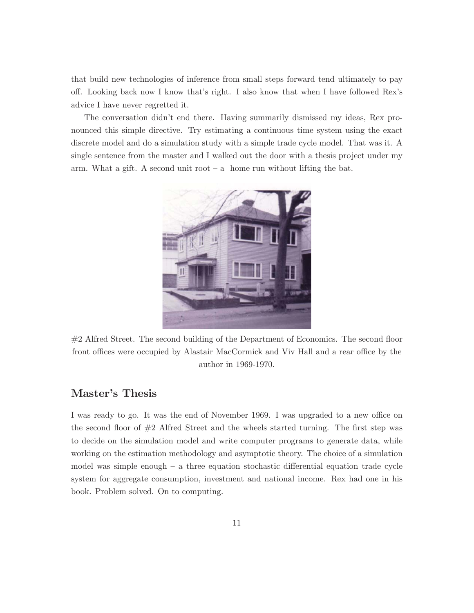that build new technologies of inference from small steps forward tend ultimately to pay off. Looking back now I know that's right. I also know that when I have followed Rex's advice I have never regretted it.

The conversation didn't end there. Having summarily dismissed my ideas, Rex pronounced this simple directive. Try estimating a continuous time system using the exact discrete model and do a simulation study with a simple trade cycle model. That was it. A single sentence from the master and I walked out the door with a thesis project under my arm. What a gift. A second unit root  $-$  a home run without lifting the bat.



#2 Alfred Street. The second building of the Department of Economics. The second floor front offices were occupied by Alastair MacCormick and Viv Hall and a rear office by the author in 1969-1970.

### Master's Thesis

I was ready to go. It was the end of November 1969. I was upgraded to a new office on the second floor of #2 Alfred Street and the wheels started turning. The first step was to decide on the simulation model and write computer programs to generate data, while working on the estimation methodology and asymptotic theory. The choice of a simulation model was simple enough  $-$  a three equation stochastic differential equation trade cycle system for aggregate consumption, investment and national income. Rex had one in his book. Problem solved. On to computing.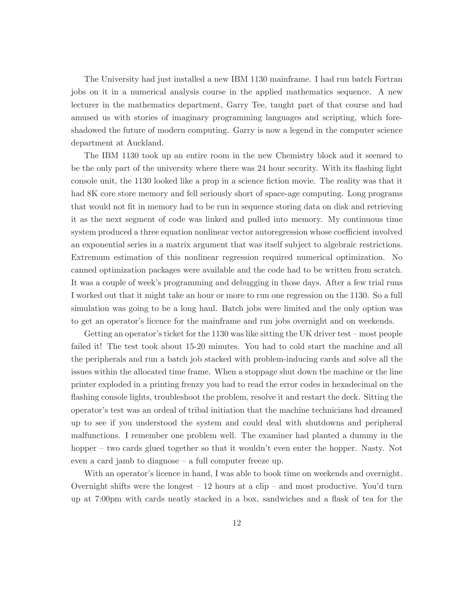The University had just installed a new IBM 1130 mainframe. I had run batch Fortran jobs on it in a numerical analysis course in the applied mathematics sequence. A new lecturer in the mathematics department, Garry Tee, taught part of that course and had amused us with stories of imaginary programming languages and scripting, which foreshadowed the future of modern computing. Garry is now a legend in the computer science department at Auckland.

The IBM 1130 took up an entire room in the new Chemistry block and it seemed to be the only part of the university where there was 24 hour security. With its flashing light console unit, the 1130 looked like a prop in a science fiction movie. The reality was that it had 8K core store memory and fell seriously short of space-age computing. Long programs that would not fit in memory had to be run in sequence storing data on disk and retrieving it as the next segment of code was linked and pulled into memory. My continuous time system produced a three equation nonlinear vector autoregression whose coefficient involved an exponential series in a matrix argument that was itself subject to algebraic restrictions. Extremum estimation of this nonlinear regression required numerical optimization. No canned optimization packages were available and the code had to be written from scratch. It was a couple of week's programming and debugging in those days. After a few trial runs I worked out that it might take an hour or more to run one regression on the 1130. So a full simulation was going to be a long haul. Batch jobs were limited and the only option was to get an operator's licence for the mainframe and run jobs overnight and on weekends.

Getting an operator's ticket for the 1130 was like sitting the UK driver test — most people failed it! The test took about 15-20 minutes. You had to cold start the machine and all the peripherals and run a batch job stacked with problem-inducing cards and solve all the issues within the allocated time frame. When a stoppage shut down the machine or the line printer exploded in a printing frenzy you had to read the error codes in hexadecimal on the flashing console lights, troubleshoot the problem, resolve it and restart the deck. Sitting the operator's test was an ordeal of tribal initiation that the machine technicians had dreamed up to see if you understood the system and could deal with shutdowns and peripheral malfunctions. I remember one problem well. The examiner had planted a dummy in the hopper – two cards glued together so that it wouldn't even enter the hopper. Nasty. Not even a card jamb to diagnose — a full computer freeze up.

With an operator's licence in hand, I was able to book time on weekends and overnight. Overnight shifts were the longest  $-12$  hours at a clip – and most productive. You'd turn up at 7:00pm with cards neatly stacked in a box, sandwiches and a flask of tea for the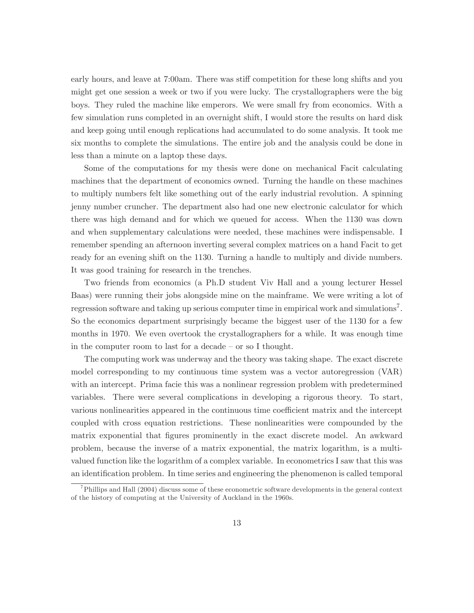early hours, and leave at 7:00am. There was stiff competition for these long shifts and you might get one session a week or two if you were lucky. The crystallographers were the big boys. They ruled the machine like emperors. We were small fry from economics. With a few simulation runs completed in an overnight shift, I would store the results on hard disk and keep going until enough replications had accumulated to do some analysis. It took me six months to complete the simulations. The entire job and the analysis could be done in less than a minute on a laptop these days.

Some of the computations for my thesis were done on mechanical Facit calculating machines that the department of economics owned. Turning the handle on these machines to multiply numbers felt like something out of the early industrial revolution. A spinning jenny number cruncher. The department also had one new electronic calculator for which there was high demand and for which we queued for access. When the 1130 was down and when supplementary calculations were needed, these machines were indispensable. I remember spending an afternoon inverting several complex matrices on a hand Facit to get ready for an evening shift on the 1130. Turning a handle to multiply and divide numbers. It was good training for research in the trenches.

Two friends from economics (a Ph.D student Viv Hall and a young lecturer Hessel Baas) were running their jobs alongside mine on the mainframe. We were writing a lot of regression software and taking up serious computer time in empirical work and simulations<sup> $\ell$ </sup>. So the economics department surprisingly became the biggest user of the 1130 for a few months in 1970. We even overtook the crystallographers for a while. It was enough time in the computer room to last for a decade — or so I thought.

The computing work was underway and the theory was taking shape. The exact discrete model corresponding to my continuous time system was a vector autoregression (VAR) with an intercept. Prima facie this was a nonlinear regression problem with predetermined variables. There were several complications in developing a rigorous theory. To start, various nonlinearities appeared in the continuous time coefficient matrix and the intercept coupled with cross equation restrictions. These nonlinearities were compounded by the matrix exponential that figures prominently in the exact discrete model. An awkward problem, because the inverse of a matrix exponential, the matrix logarithm, is a multivalued function like the logarithm of a complex variable. In econometrics I saw that this was an identification problem. In time series and engineering the phenomenon is called temporal

 $7$ Phillips and Hall (2004) discuss some of these econometric software developments in the general context of the history of computing at the University of Auckland in the 1960s.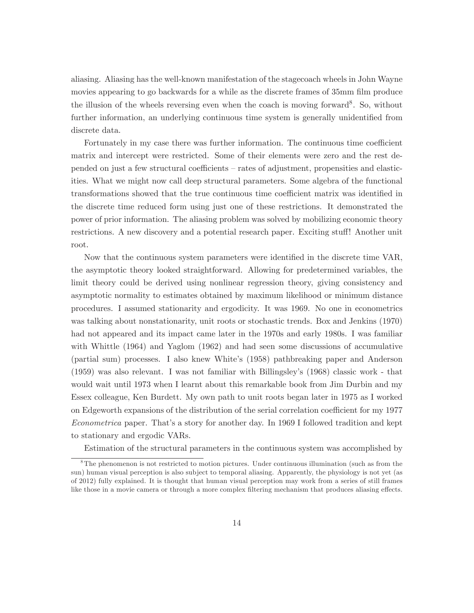aliasing. Aliasing has the well-known manifestation of the stagecoach wheels in John Wayne movies appearing to go backwards for a while as the discrete frames of 35mm film produce the illusion of the wheels reversing even when the coach is moving forward<sup>8</sup>. So, without further information, an underlying continuous time system is generally unidentified from discrete data.

Fortunately in my case there was further information. The continuous time coefficient matrix and intercept were restricted. Some of their elements were zero and the rest depended on just a few structural coefficients — rates of adjustment, propensities and elasticities. What we might now call deep structural parameters. Some algebra of the functional transformations showed that the true continuous time coefficient matrix was identified in the discrete time reduced form using just one of these restrictions. It demonstrated the power of prior information. The aliasing problem was solved by mobilizing economic theory restrictions. A new discovery and a potential research paper. Exciting stuff! Another unit root.

Now that the continuous system parameters were identified in the discrete time VAR, the asymptotic theory looked straightforward. Allowing for predetermined variables, the limit theory could be derived using nonlinear regression theory, giving consistency and asymptotic normality to estimates obtained by maximum likelihood or minimum distance procedures. I assumed stationarity and ergodicity. It was 1969. No one in econometrics was talking about nonstationarity, unit roots or stochastic trends. Box and Jenkins (1970) had not appeared and its impact came later in the 1970s and early 1980s. I was familiar with Whittle (1964) and Yaglom (1962) and had seen some discussions of accumulative (partial sum) processes. I also knew White's (1958) pathbreaking paper and Anderson (1959) was also relevant. I was not familiar with Billingsley's (1968) classic work - that would wait until 1973 when I learnt about this remarkable book from Jim Durbin and my Essex colleague, Ken Burdett. My own path to unit roots began later in 1975 as I worked on Edgeworth expansions of the distribution of the serial correlation coefficient for my 1977 Econometrica paper. That's a story for another day. In 1969 I followed tradition and kept to stationary and ergodic VARs.

Estimation of the structural parameters in the continuous system was accomplished by

<sup>&</sup>lt;sup>8</sup>The phenomenon is not restricted to motion pictures. Under continuous illumination (such as from the sun) human visual perception is also subject to temporal aliasing. Apparently, the physiology is not yet (as of 2012) fully explained. It is thought that human visual perception may work from a series of still frames like those in a movie camera or through a more complex filtering mechanism that produces aliasing effects.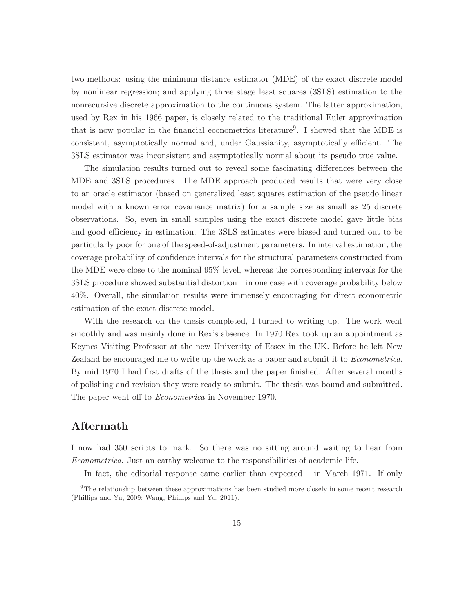two methods: using the minimum distance estimator (MDE) of the exact discrete model by nonlinear regression; and applying three stage least squares (3SLS) estimation to the nonrecursive discrete approximation to the continuous system. The latter approximation, used by Rex in his 1966 paper, is closely related to the traditional Euler approximation that is now popular in the financial econometrics literature9. I showed that the MDE is consistent, asymptotically normal and, under Gaussianity, asymptotically efficient. The 3SLS estimator was inconsistent and asymptotically normal about its pseudo true value.

The simulation results turned out to reveal some fascinating differences between the MDE and 3SLS procedures. The MDE approach produced results that were very close to an oracle estimator (based on generalized least squares estimation of the pseudo linear model with a known error covariance matrix) for a sample size as small as 25 discrete observations. So, even in small samples using the exact discrete model gave little bias and good efficiency in estimation. The 3SLS estimates were biased and turned out to be particularly poor for one of the speed-of-adjustment parameters. In interval estimation, the coverage probability of confidence intervals for the structural parameters constructed from the MDE were close to the nominal 95% level, whereas the corresponding intervals for the 3SLS procedure showed substantial distortion — in one case with coverage probability below 40%. Overall, the simulation results were immensely encouraging for direct econometric estimation of the exact discrete model.

With the research on the thesis completed, I turned to writing up. The work went smoothly and was mainly done in Rex's absence. In 1970 Rex took up an appointment as Keynes Visiting Professor at the new University of Essex in the UK. Before he left New Zealand he encouraged me to write up the work as a paper and submit it to Econometrica. By mid 1970 I had first drafts of the thesis and the paper finished. After several months of polishing and revision they were ready to submit. The thesis was bound and submitted. The paper went off to *Econometrica* in November 1970.

## Aftermath

I now had 350 scripts to mark. So there was no sitting around waiting to hear from Econometrica. Just an earthy welcome to the responsibilities of academic life.

In fact, the editorial response came earlier than expected — in March 1971. If only

<sup>&</sup>lt;sup>9</sup>The relationship between these approximations has been studied more closely in some recent research (Phillips and Yu, 2009; Wang, Phillips and Yu, 2011).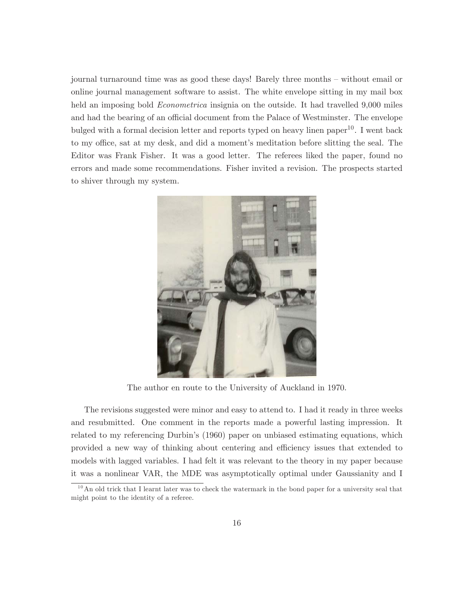journal turnaround time was as good these days! Barely three months — without email or online journal management software to assist. The white envelope sitting in my mail box held an imposing bold *Econometrica* insignia on the outside. It had travelled 9,000 miles and had the bearing of an official document from the Palace of Westminster. The envelope bulged with a formal decision letter and reports typed on heavy linen paper<sup>10</sup>. I went back to my office, sat at my desk, and did a moment's meditation before slitting the seal. The Editor was Frank Fisher. It was a good letter. The referees liked the paper, found no errors and made some recommendations. Fisher invited a revision. The prospects started to shiver through my system.



The author en route to the University of Auckland in 1970.

The revisions suggested were minor and easy to attend to. I had it ready in three weeks and resubmitted. One comment in the reports made a powerful lasting impression. It related to my referencing Durbin's (1960) paper on unbiased estimating equations, which provided a new way of thinking about centering and efficiency issues that extended to models with lagged variables. I had felt it was relevant to the theory in my paper because it was a nonlinear VAR, the MDE was asymptotically optimal under Gaussianity and I

 $10$ An old trick that I learnt later was to check the watermark in the bond paper for a university seal that might point to the identity of a referee.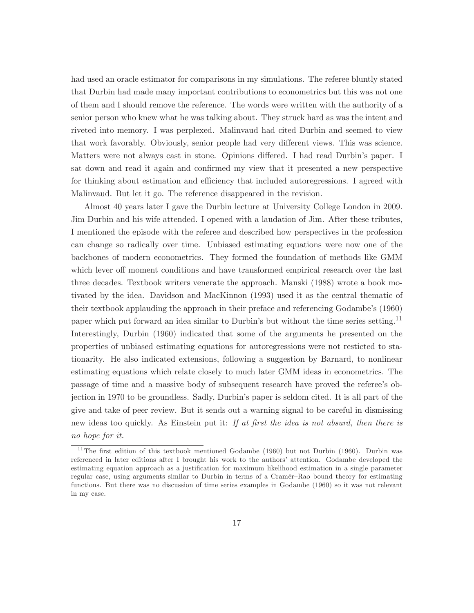had used an oracle estimator for comparisons in my simulations. The referee bluntly stated that Durbin had made many important contributions to econometrics but this was not one of them and I should remove the reference. The words were written with the authority of a senior person who knew what he was talking about. They struck hard as was the intent and riveted into memory. I was perplexed. Malinvaud had cited Durbin and seemed to view that work favorably. Obviously, senior people had very different views. This was science. Matters were not always cast in stone. Opinions differed. I had read Durbin's paper. I sat down and read it again and confirmed my view that it presented a new perspective for thinking about estimation and efficiency that included autoregressions. I agreed with Malinvaud. But let it go. The reference disappeared in the revision.

Almost 40 years later I gave the Durbin lecture at University College London in 2009. Jim Durbin and his wife attended. I opened with a laudation of Jim. After these tributes, I mentioned the episode with the referee and described how perspectives in the profession can change so radically over time. Unbiased estimating equations were now one of the backbones of modern econometrics. They formed the foundation of methods like GMM which lever off moment conditions and have transformed empirical research over the last three decades. Textbook writers venerate the approach. Manski (1988) wrote a book motivated by the idea. Davidson and MacKinnon (1993) used it as the central thematic of their textbook applauding the approach in their preface and referencing Godambe's (1960) paper which put forward an idea similar to Durbin's but without the time series setting.<sup>11</sup> Interestingly, Durbin (1960) indicated that some of the arguments he presented on the properties of unbiased estimating equations for autoregressions were not resticted to stationarity. He also indicated extensions, following a suggestion by Barnard, to nonlinear estimating equations which relate closely to much later GMM ideas in econometrics. The passage of time and a massive body of subsequent research have proved the referee's objection in 1970 to be groundless. Sadly, Durbin's paper is seldom cited. It is all part of the give and take of peer review. But it sends out a warning signal to be careful in dismissing new ideas too quickly. As Einstein put it: If at first the idea is not absurd, then there is no hope for it.

<sup>&</sup>lt;sup>11</sup>The first edition of this textbook mentioned Godambe (1960) but not Durbin (1960). Durbin was referenced in later editions after I brought his work to the authors' attention. Godambe developed the estimating equation approach as a justification for maximum likelihood estimation in a single parameter regular case, using arguments similar to Durbin in terms of a Cramér—Rao bound theory for estimating functions. But there was no discussion of time series examples in Godambe (1960) so it was not relevant in my case.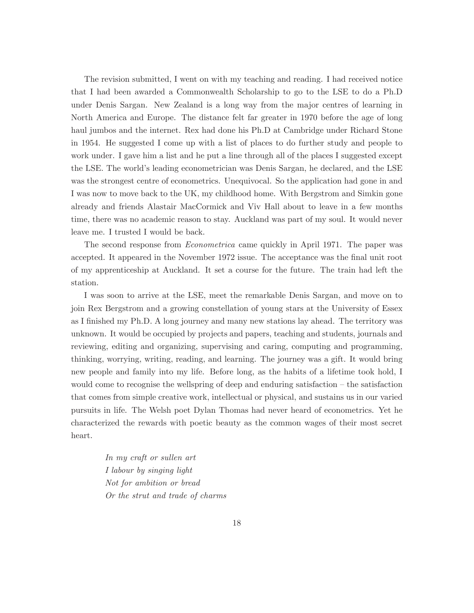The revision submitted, I went on with my teaching and reading. I had received notice that I had been awarded a Commonwealth Scholarship to go to the LSE to do a Ph.D under Denis Sargan. New Zealand is a long way from the major centres of learning in North America and Europe. The distance felt far greater in 1970 before the age of long haul jumbos and the internet. Rex had done his Ph.D at Cambridge under Richard Stone in 1954. He suggested I come up with a list of places to do further study and people to work under. I gave him a list and he put a line through all of the places I suggested except the LSE. The world's leading econometrician was Denis Sargan, he declared, and the LSE was the strongest centre of econometrics. Unequivocal. So the application had gone in and I was now to move back to the UK, my childhood home. With Bergstrom and Simkin gone already and friends Alastair MacCormick and Viv Hall about to leave in a few months time, there was no academic reason to stay. Auckland was part of my soul. It would never leave me. I trusted I would be back.

The second response from Econometrica came quickly in April 1971. The paper was accepted. It appeared in the November 1972 issue. The acceptance was the final unit root of my apprenticeship at Auckland. It set a course for the future. The train had left the station.

I was soon to arrive at the LSE, meet the remarkable Denis Sargan, and move on to join Rex Bergstrom and a growing constellation of young stars at the University of Essex as I finished my Ph.D. A long journey and many new stations lay ahead. The territory was unknown. It would be occupied by projects and papers, teaching and students, journals and reviewing, editing and organizing, supervising and caring, computing and programming, thinking, worrying, writing, reading, and learning. The journey was a gift. It would bring new people and family into my life. Before long, as the habits of a lifetime took hold, I would come to recognise the wellspring of deep and enduring satisfaction — the satisfaction that comes from simple creative work, intellectual or physical, and sustains us in our varied pursuits in life. The Welsh poet Dylan Thomas had never heard of econometrics. Yet he characterized the rewards with poetic beauty as the common wages of their most secret heart.

> In my craft or sullen art I labour by singing light Not for ambition or bread Or the strut and trade of charms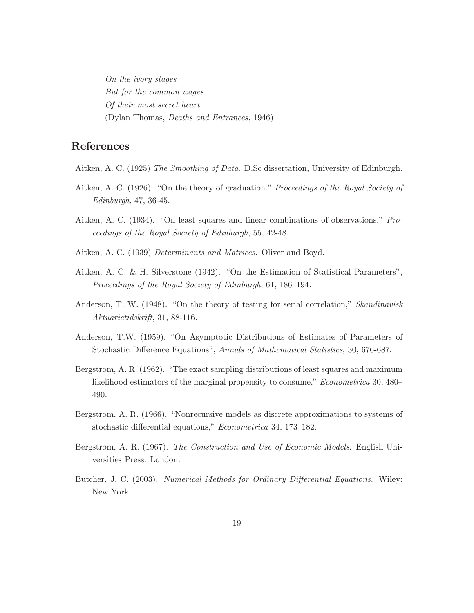On the ivory stages But for the common wages Of their most secret heart. (Dylan Thomas, Deaths and Entrances, 1946)

#### References

- Aitken, A. C. (1925) The Smoothing of Data. D.Sc dissertation, University of Edinburgh.
- Aitken, A. C. (1926). "On the theory of graduation." Proceedings of the Royal Society of Edinburgh, 47, 36-45.
- Aitken, A. C. (1934). "On least squares and linear combinations of observations." Proceedings of the Royal Society of Edinburgh, 55, 42-48.
- Aitken, A. C. (1939) *Determinants and Matrices*. Oliver and Boyd.
- Aitken, A. C. & H. Silverstone (1942). "On the Estimation of Statistical Parameters", Proceedings of the Royal Society of Edinburgh, 61, 186—194.
- Anderson, T. W. (1948). "On the theory of testing for serial correlation," Skandinavisk Aktuarietidskrift, 31, 88-116.
- Anderson, T.W. (1959), "On Asymptotic Distributions of Estimates of Parameters of Stochastic Difference Equations", Annals of Mathematical Statistics, 30, 676-687.
- Bergstrom, A. R. (1962). "The exact sampling distributions of least squares and maximum likelihood estimators of the marginal propensity to consume," Econometrica 30, 480— 490.
- Bergstrom, A. R. (1966). "Nonrecursive models as discrete approximations to systems of stochastic differential equations," Econometrica 34, 173—182.
- Bergstrom, A. R. (1967). The Construction and Use of Economic Models. English Universities Press: London.
- Butcher, J. C. (2003). Numerical Methods for Ordinary Differential Equations. Wiley: New York.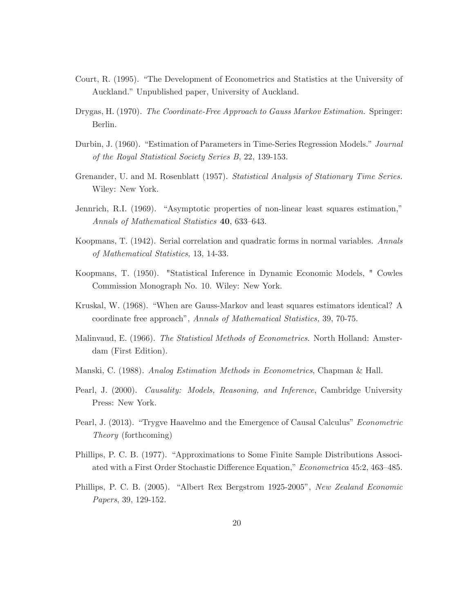- Court, R. (1995). "The Development of Econometrics and Statistics at the University of Auckland." Unpublished paper, University of Auckland.
- Drygas, H. (1970). The Coordinate-Free Approach to Gauss Markov Estimation. Springer: Berlin.
- Durbin, J. (1960). "Estimation of Parameters in Time-Series Regression Models." Journal of the Royal Statistical Society Series B, 22, 139-153.
- Grenander, U. and M. Rosenblatt (1957). Statistical Analysis of Stationary Time Series. Wiley: New York.
- Jennrich, R.I. (1969). "Asymptotic properties of non-linear least squares estimation," Annals of Mathematical Statistics 40, 633—643.
- Koopmans, T. (1942). Serial correlation and quadratic forms in normal variables. Annals of Mathematical Statistics, 13, 14-33.
- Koopmans, T. (1950). "Statistical Inference in Dynamic Economic Models, " Cowles Commission Monograph No. 10. Wiley: New York.
- Kruskal, W. (1968). "When are Gauss-Markov and least squares estimators identical? A coordinate free approach", Annals of Mathematical Statistics, 39, 70-75.
- Malinvaud, E. (1966). *The Statistical Methods of Econometrics*. North Holland: Amsterdam (First Edition).
- Manski, C. (1988). Analog Estimation Methods in Econometrics, Chapman & Hall.
- Pearl, J. (2000). Causality: Models, Reasoning, and Inference, Cambridge University Press: New York.
- Pearl, J. (2013). "Trygve Haavelmo and the Emergence of Causal Calculus" Econometric Theory (forthcoming)
- Phillips, P. C. B. (1977). "Approximations to Some Finite Sample Distributions Associated with a First Order Stochastic Difference Equation," Econometrica 45:2, 463—485.
- Phillips, P. C. B. (2005). "Albert Rex Bergstrom 1925-2005", New Zealand Economic Papers, 39, 129-152.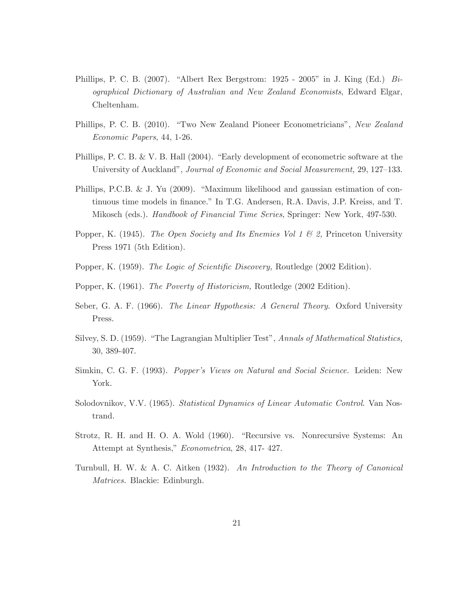- Phillips, P. C. B. (2007). "Albert Rex Bergstrom: 1925 2005" in J. King (Ed.) Biographical Dictionary of Australian and New Zealand Economists, Edward Elgar, Cheltenham.
- Phillips, P. C. B. (2010). "Two New Zealand Pioneer Econometricians", New Zealand Economic Papers, 44, 1-26.
- Phillips, P. C. B. & V. B. Hall (2004). "Early development of econometric software at the University of Auckland", Journal of Economic and Social Measurement, 29, 127—133.
- Phillips, P.C.B. & J. Yu (2009). "Maximum likelihood and gaussian estimation of continuous time models in finance." In T.G. Andersen, R.A. Davis, J.P. Kreiss, and T. Mikosch (eds.). Handbook of Financial Time Series, Springer: New York, 497-530.
- Popper, K. (1945). The Open Society and Its Enemies Vol 1  $\mathcal{B}$  2, Princeton University Press 1971 (5th Edition).
- Popper, K. (1959). The Logic of Scientific Discovery, Routledge (2002 Edition).
- Popper, K. (1961). The Poverty of Historicism, Routledge (2002 Edition).
- Seber, G. A. F. (1966). The Linear Hypothesis: A General Theory. Oxford University Press.
- Silvey, S. D. (1959). "The Lagrangian Multiplier Test", Annals of Mathematical Statistics, 30, 389-407.
- Simkin, C. G. F. (1993). Popper's Views on Natural and Social Science. Leiden: New York.
- Solodovnikov, V.V. (1965). Statistical Dynamics of Linear Automatic Control. Van Nostrand.
- Strotz, R. H. and H. O. A. Wold (1960). "Recursive vs. Nonrecursive Systems: An Attempt at Synthesis," Econometrica, 28, 417- 427.
- Turnbull, H. W. & A. C. Aitken (1932). An Introduction to the Theory of Canonical Matrices. Blackie: Edinburgh.